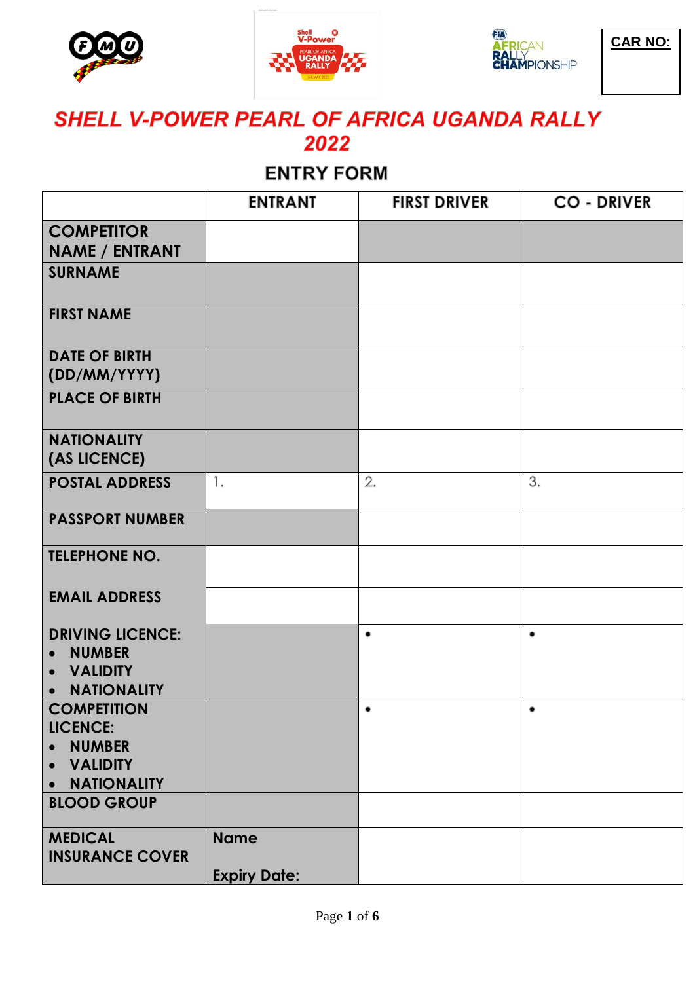





**CAR NO:**

# SHELL V-POWER PEARL OF AFRICA UGANDA RALLY 2022

# **ENTRY FORM**

|                                                                                                                          | <b>ENTRANT</b>                     | <b>FIRST DRIVER</b> | <b>CO - DRIVER</b> |
|--------------------------------------------------------------------------------------------------------------------------|------------------------------------|---------------------|--------------------|
| <b>COMPETITOR</b><br><b>NAME / ENTRANT</b>                                                                               |                                    |                     |                    |
| <b>SURNAME</b>                                                                                                           |                                    |                     |                    |
| <b>FIRST NAME</b>                                                                                                        |                                    |                     |                    |
| <b>DATE OF BIRTH</b><br>(DD/MM/YYYY)                                                                                     |                                    |                     |                    |
| <b>PLACE OF BIRTH</b>                                                                                                    |                                    |                     |                    |
| <b>NATIONALITY</b><br>(AS LICENCE)                                                                                       |                                    |                     |                    |
| <b>POSTAL ADDRESS</b>                                                                                                    | 1.                                 | 2.                  | 3.                 |
| <b>PASSPORT NUMBER</b>                                                                                                   |                                    |                     |                    |
| <b>TELEPHONE NO.</b>                                                                                                     |                                    |                     |                    |
| <b>EMAIL ADDRESS</b>                                                                                                     |                                    |                     |                    |
| <b>DRIVING LICENCE:</b><br><b>NUMBER</b><br>$\bullet$<br><b>VALIDITY</b><br>$\bullet$<br><b>NATIONALITY</b><br>$\bullet$ |                                    | ٠                   | ٠                  |
| <b>COMPETITION</b><br><b>LICENCE:</b><br><b>NUMBER</b><br>$\bullet$<br><b>VALIDITY</b><br>$\bullet$<br>• NATIONALITY     |                                    | ٠                   | $\bullet$          |
| <b>BLOOD GROUP</b>                                                                                                       |                                    |                     |                    |
| <b>MEDICAL</b><br><b>INSURANCE COVER</b>                                                                                 | <b>Name</b><br><b>Expiry Date:</b> |                     |                    |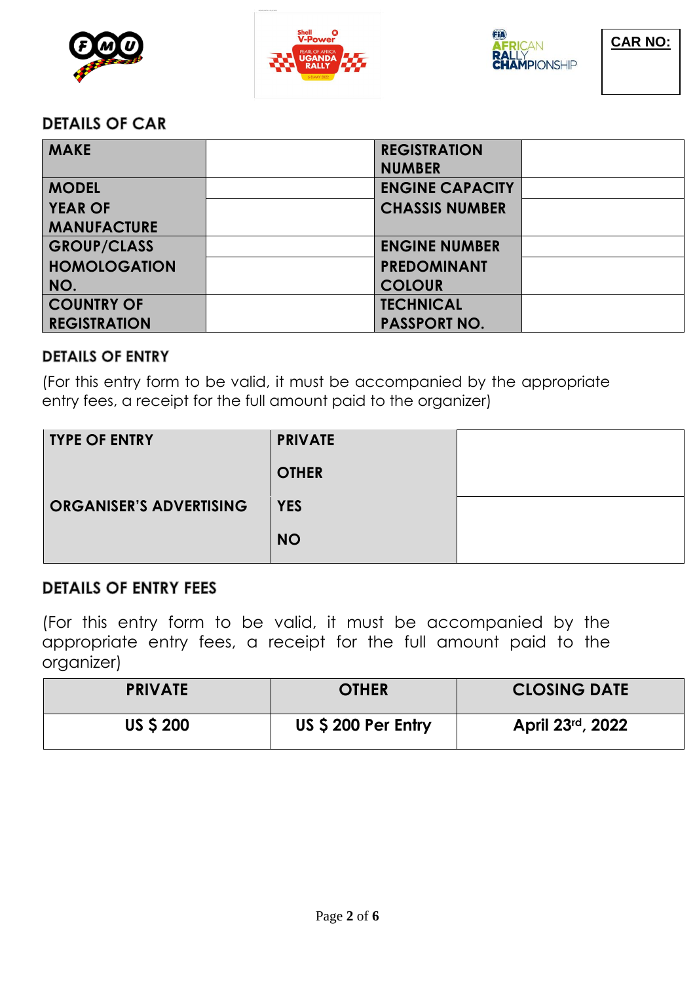



#### **DETAILS OF CAR**

| <b>MAKE</b>         | <b>REGISTRATION</b><br><b>NUMBER</b> |  |
|---------------------|--------------------------------------|--|
| <b>MODEL</b>        | <b>ENGINE CAPACITY</b>               |  |
| <b>YEAR OF</b>      | <b>CHASSIS NUMBER</b>                |  |
| <b>MANUFACTURE</b>  |                                      |  |
| <b>GROUP/CLASS</b>  | <b>ENGINE NUMBER</b>                 |  |
| <b>HOMOLOGATION</b> | <b>PREDOMINANT</b>                   |  |
| NO.                 | <b>COLOUR</b>                        |  |
| <b>COUNTRY OF</b>   | <b>TECHNICAL</b>                     |  |
| <b>REGISTRATION</b> | <b>PASSPORT NO.</b>                  |  |

### **DETAILS OF ENTRY**

(For this entry form to be valid, it must be accompanied by the appropriate entry fees, a receipt for the full amount paid to the organizer)

| <b>TYPE OF ENTRY</b>           | <b>PRIVATE</b> |  |
|--------------------------------|----------------|--|
|                                | <b>OTHER</b>   |  |
| <b>ORGANISER'S ADVERTISING</b> | <b>YES</b>     |  |
|                                | <b>NO</b>      |  |

### **DETAILS OF ENTRY FEES**

(For this entry form to be valid, it must be accompanied by the appropriate entry fees, a receipt for the full amount paid to the organizer)

| <b>PRIVATE</b>   | <b>OTHER</b>       | <b>CLOSING DATE</b> |
|------------------|--------------------|---------------------|
| <b>US \$ 200</b> | US \$200 Per Entry | April 23rd, 2022    |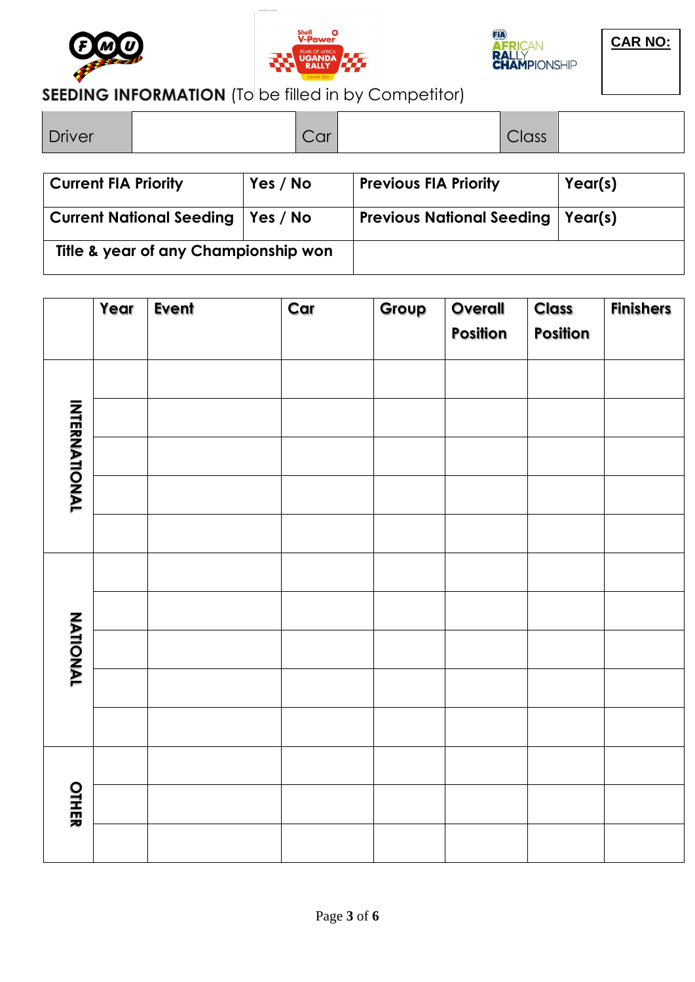





### SEEDING INFORMATION (To be filled in by Competitor)

| l Driver                            |          | Car |                                  | Class |         |
|-------------------------------------|----------|-----|----------------------------------|-------|---------|
| <b>Current FIA Priority</b>         | Yes / No |     | <b>Previous FIA Priority</b>     |       | Year(s) |
| Current National Seeding   Yes / No |          |     | <b>Previous National Seeding</b> |       | Year(s) |

**Title & year of any Championship won**

|                      | Year | <b>Event</b> | Car | Group | Overall<br>Position | <b>Class</b><br><b>Position</b> | <b>Finishers</b> |
|----------------------|------|--------------|-----|-------|---------------------|---------------------------------|------------------|
|                      |      |              |     |       |                     |                                 |                  |
|                      |      |              |     |       |                     |                                 |                  |
| <b>INTERNATIONAL</b> |      |              |     |       |                     |                                 |                  |
|                      |      |              |     |       |                     |                                 |                  |
|                      |      |              |     |       |                     |                                 |                  |
|                      |      |              |     |       |                     |                                 |                  |
|                      |      |              |     |       |                     |                                 |                  |
| <b>NATIONAL</b>      |      |              |     |       |                     |                                 |                  |
|                      |      |              |     |       |                     |                                 |                  |
|                      |      |              |     |       |                     |                                 |                  |
|                      |      |              |     |       |                     |                                 |                  |
| OTHER                |      |              |     |       |                     |                                 |                  |
|                      |      |              |     |       |                     |                                 |                  |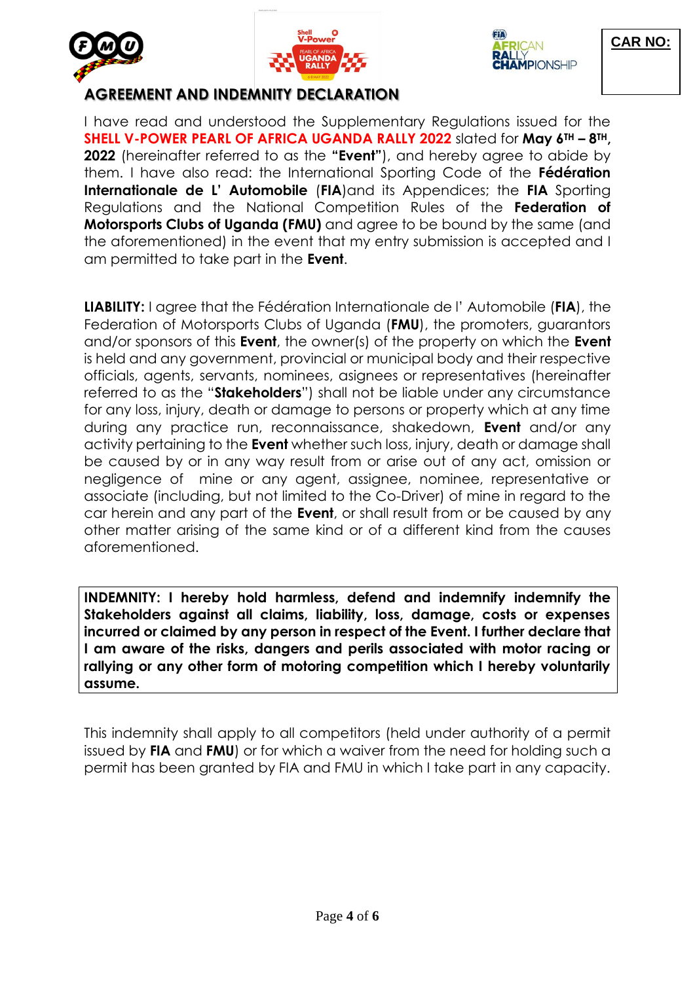





**CAR NO:**

### **AGREEMENT AND INDEMNITY DECLARATION**

I have read and understood the Supplementary Regulations issued for the **SHELL V-POWER PEARL OF AFRICA UGANDA RALLY 2022** slated for **May 6TH – 8TH, 2022** (hereinafter referred to as the **"Event"**), and hereby agree to abide by them. I have also read: the International Sporting Code of the **Fédération Internationale de L' Automobile (FIA)and its Appendices; the FIA Sporting** Regulations and the National Competition Rules of the **Federation of Motorsports Clubs of Uganda (FMU)** and agree to be bound by the same (and the aforementioned) in the event that my entry submission is accepted and I am permitted to take part in the **Event**.

**LIABILITY:** I agree that the Fédération Internationale de l' Automobile (**FIA**), the Federation of Motorsports Clubs of Uganda (**FMU**), the promoters, guarantors and/or sponsors of this **Event**, the owner(s) of the property on which the **Event** is held and any government, provincial or municipal body and their respective officials, agents, servants, nominees, asignees or representatives (hereinafter referred to as the "**Stakeholders**") shall not be liable under any circumstance for any loss, injury, death or damage to persons or property which at any time during any practice run, reconnaissance, shakedown, **Event** and/or any activity pertaining to the **Event** whether such loss, injury, death or damage shall be caused by or in any way result from or arise out of any act, omission or negligence of mine or any agent, assignee, nominee, representative or associate (including, but not limited to the Co-Driver) of mine in regard to the car herein and any part of the **Event**, or shall result from or be caused by any other matter arising of the same kind or of a different kind from the causes aforementioned.

**INDEMNITY: I hereby hold harmless, defend and indemnify indemnify the Stakeholders against all claims, liability, loss, damage, costs or expenses incurred or claimed by any person in respect of the Event. I further declare that I am aware of the risks, dangers and perils associated with motor racing or rallying or any other form of motoring competition which I hereby voluntarily assume.**

This indemnity shall apply to all competitors (held under authority of a permit issued by **FIA** and **FMU**) or for which a waiver from the need for holding such a permit has been granted by FIA and FMU in which I take part in any capacity.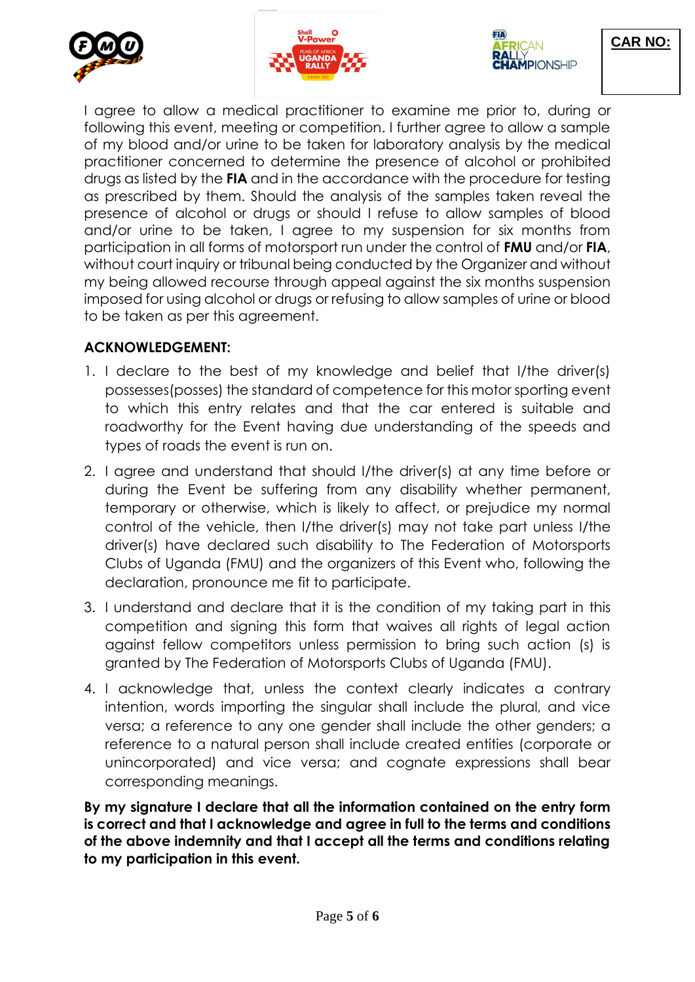





**CAR NO:**

I agree to allow a medical practitioner to examine me prior to, during or following this event, meeting or competition. I further agree to allow a sample of my blood and/or urine to be taken for laboratory analysis by the medical practitioner concerned to determine the presence of alcohol or prohibited drugs as listed by the **FIA** and in the accordance with the procedure for testing as prescribed by them. Should the analysis of the samples taken reveal the presence of alcohol or drugs or should I refuse to allow samples of blood and/or urine to be taken, I agree to my suspension for six months from participation in all forms of motorsport run under the control of **FMU** and/or **FIA**, without court inquiry or tribunal being conducted by the Organizer and without my being allowed recourse through appeal against the six months suspension imposed for using alcohol or drugs or refusing to allow samples of urine or blood to be taken as per this agreement.

#### **ACKNOWLEDGEMENT:**

- 1. I declare to the best of my knowledge and belief that I/the driver(s) possesses(posses) the standard of competence for this motor sporting event to which this entry relates and that the car entered is suitable and roadworthy for the Event having due understanding of the speeds and types of roads the event is run on.
- 2. I agree and understand that should I/the driver(s) at any time before or during the Event be suffering from any disability whether permanent, temporary or otherwise, which is likely to affect, or prejudice my normal control of the vehicle, then I/the driver(s) may not take part unless I/the driver(s) have declared such disability to The Federation of Motorsports Clubs of Uganda (FMU) and the organizers of this Event who, following the declaration, pronounce me fit to participate.
- 3. I understand and declare that it is the condition of my taking part in this competition and signing this form that waives all rights of legal action against fellow competitors unless permission to bring such action (s) is granted by The Federation of Motorsports Clubs of Uganda (FMU).
- 4. I acknowledge that, unless the context clearly indicates a contrary intention, words importing the singular shall include the plural, and vice versa; a reference to any one gender shall include the other genders; a reference to a natural person shall include created entities (corporate or unincorporated) and vice versa; and cognate expressions shall bear corresponding meanings.

**By my signature I declare that all the information contained on the entry form is correct and that I acknowledge and agree in full to the terms and conditions of the above indemnity and that I accept all the terms and conditions relating to my participation in this event.**